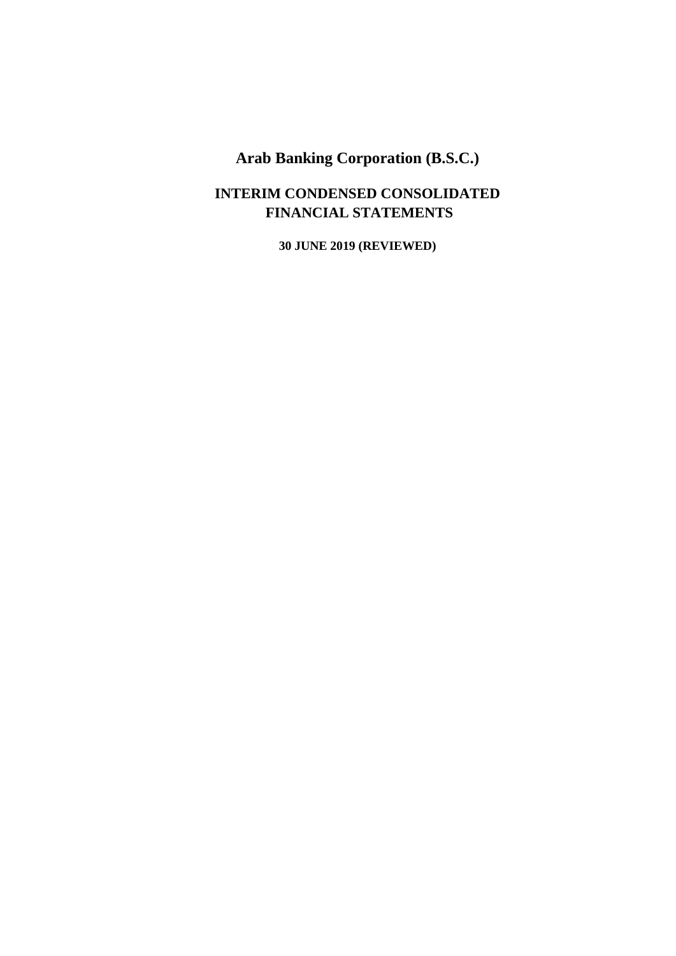### **INTERIM CONDENSED CONSOLIDATED FINANCIAL STATEMENTS**

**30 JUNE 2019 (REVIEWED)**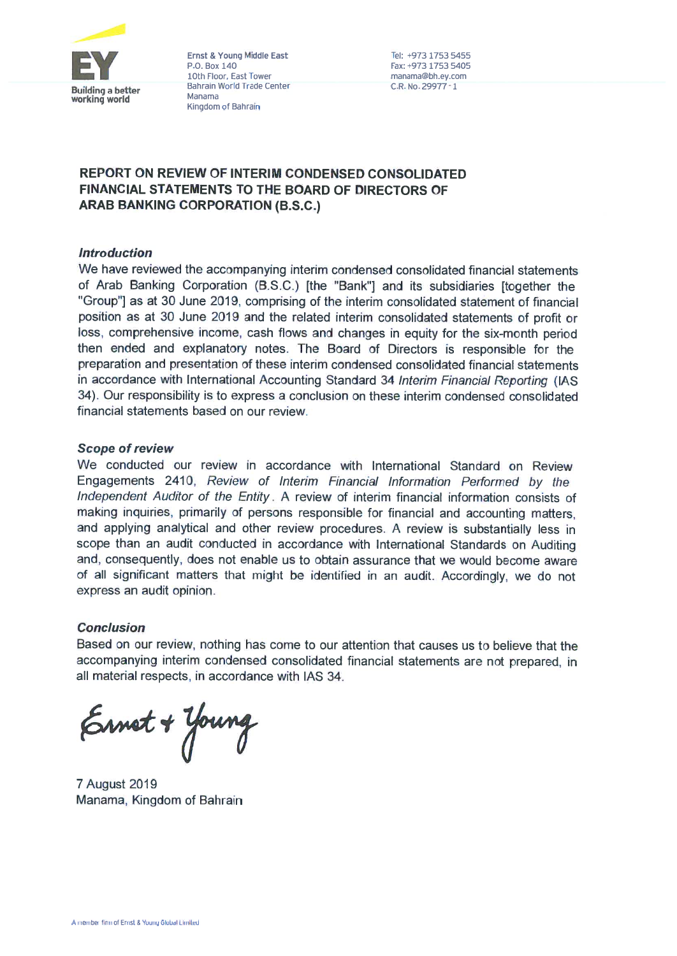

Ernst & Young Middle East P.O. Box 140 10th Floor, East Tower Bahrain World Trade Center Manama Kingdom of Bahrain

Tel: +973 1753 5455 Fax: +973 1753 5405 manama@bh.ey.com C.R. No. 29977-1

### **REPORT ON REVIEW OF INTERIM CONDENSED CONSOLIDATED FINANCIAL STATEMENTS TO THE BOARD OF DIRECTORS OF ARAB BANKING CORPORATION (B.S.C.)**

### **Introduction**

We have reviewed the accompanying interim condensed consolidated financial statements of Arab Banking Corporation (B.S.C.) [the "Bank"] and its subsidiaries [together the "Group"] as at 30 June 2019, comprising of the interim consolidated statement of financial position as at 30 June 2019 and the related interim consolidated statements of profit or loss, comprehensive income, cash flows and changes in equity for the six-month period then ended and explanatory notes. The Board of Directors is responsible for the preparation and presentation of these interim condensed consolidated financial statements in accordance with International Accounting Standard 34 Interim Financial Reporting (IAS 34). Our responsibility is to express a conclusion on these interim condensed consolidated financial statements based on our review.

### **Scope of review**

We conducted our review in accordance with International Standard on Review Engagements 2410, Review of Interim Financial Information Performed by the Independent Auditor of the Entity. A review of interim financial information consists of making inquiries, primarily of persons responsible for financial and accounting matters. and applying analytical and other review procedures. A review is substantially less in scope than an audit conducted in accordance with International Standards on Auditing and, consequently, does not enable us to obtain assurance that we would become aware of all significant matters that might be identified in an audit. Accordingly, we do not express an audit opinion.

### **Conclusion**

Based on our review, nothing has come to our attention that causes us to believe that the accompanying interim condensed consolidated financial statements are not prepared, in all material respects, in accordance with IAS 34.

Ernet + Young

**7 August 2019** Manama, Kingdom of Bahrain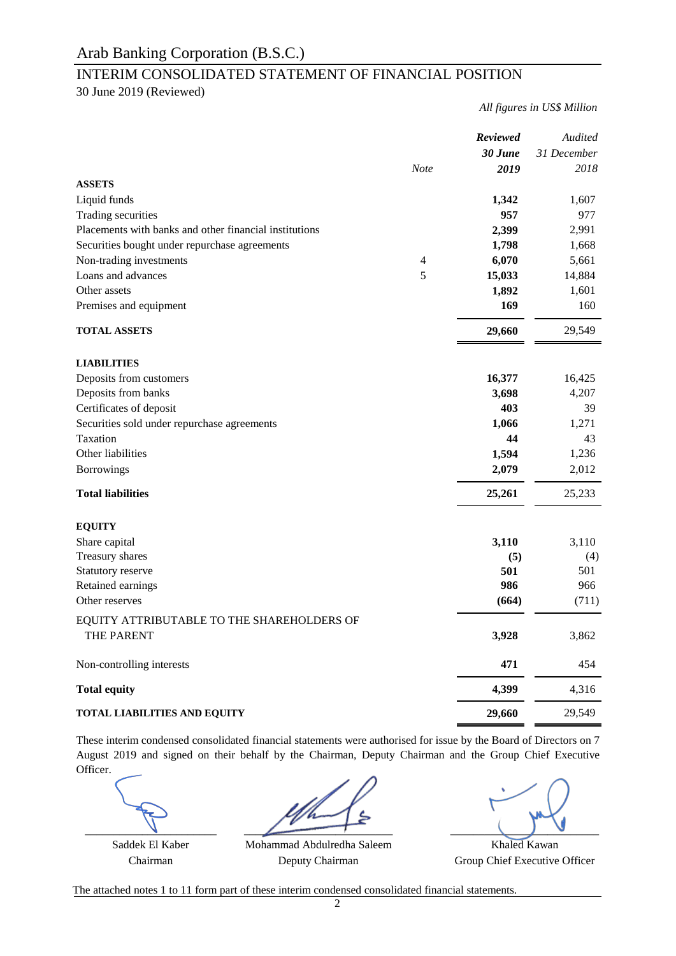### INTERIM CONSOLIDATED STATEMENT OF FINANCIAL POSITION

30 June 2019 (Reviewed)

*All figures in US\$ Million*

|                                                        |             | <b>Reviewed</b> | Audited     |
|--------------------------------------------------------|-------------|-----------------|-------------|
|                                                        |             | 30 June         | 31 December |
|                                                        | <b>Note</b> | 2019            | 2018        |
| <b>ASSETS</b>                                          |             |                 |             |
| Liquid funds                                           |             | 1,342           | 1,607       |
| Trading securities                                     |             | 957             | 977         |
| Placements with banks and other financial institutions |             | 2,399           | 2,991       |
| Securities bought under repurchase agreements          |             | 1,798           | 1,668       |
| Non-trading investments                                | 4           | 6,070           | 5,661       |
| Loans and advances                                     | 5           | 15,033          | 14,884      |
| Other assets                                           |             | 1,892           | 1,601       |
| Premises and equipment                                 |             | 169             | 160         |
| <b>TOTAL ASSETS</b>                                    |             | 29,660          | 29,549      |
| <b>LIABILITIES</b>                                     |             |                 |             |
| Deposits from customers                                |             | 16,377          | 16,425      |
| Deposits from banks                                    |             | 3,698           | 4,207       |
| Certificates of deposit                                |             | 403             | 39          |
| Securities sold under repurchase agreements            |             | 1,066           | 1,271       |
| Taxation                                               |             | 44              | 43          |
| Other liabilities                                      |             | 1,594           | 1,236       |
| <b>Borrowings</b>                                      |             | 2,079           | 2,012       |
|                                                        |             |                 |             |
| <b>Total liabilities</b>                               |             | 25,261          | 25,233      |
| <b>EQUITY</b>                                          |             |                 |             |
| Share capital                                          |             | 3,110           | 3,110       |
| Treasury shares                                        |             | (5)             | (4)         |
| Statutory reserve                                      |             | 501             | 501         |
| Retained earnings                                      |             | 986             | 966         |
| Other reserves                                         |             | (664)           | (711)       |
| EQUITY ATTRIBUTABLE TO THE SHAREHOLDERS OF             |             |                 |             |
| THE PARENT                                             |             | 3,928           | 3,862       |
| Non-controlling interests                              |             | 471             | 454         |
| <b>Total equity</b>                                    |             | 4,399           | 4,316       |
| <b>TOTAL LIABILITIES AND EQUITY</b>                    |             | 29,660          | 29,549      |

These interim condensed consolidated financial statements were authorised for issue by the Board of Directors on 7 August 2019 and signed on their behalf by the Chairman, Deputy Chairman and the Group Chief Executive Officer.

 $\overline{\phantom{a}}$  ,  $\overline{\phantom{a}}$  ,  $\overline{\phantom{a}}$  ,  $\overline{\phantom{a}}$  ,  $\overline{\phantom{a}}$  ,  $\overline{\phantom{a}}$  ,  $\overline{\phantom{a}}$  ,  $\overline{\phantom{a}}$  ,  $\overline{\phantom{a}}$  ,  $\overline{\phantom{a}}$  ,  $\overline{\phantom{a}}$  ,  $\overline{\phantom{a}}$  ,  $\overline{\phantom{a}}$  ,  $\overline{\phantom{a}}$  ,  $\overline{\phantom{a}}$  ,  $\overline{\phantom{a}}$ 

Chairman Deputy Chairman Group Chief Executive Officer Saddek El Kaber Mohammad Abdulredha Saleem Khaled Kawan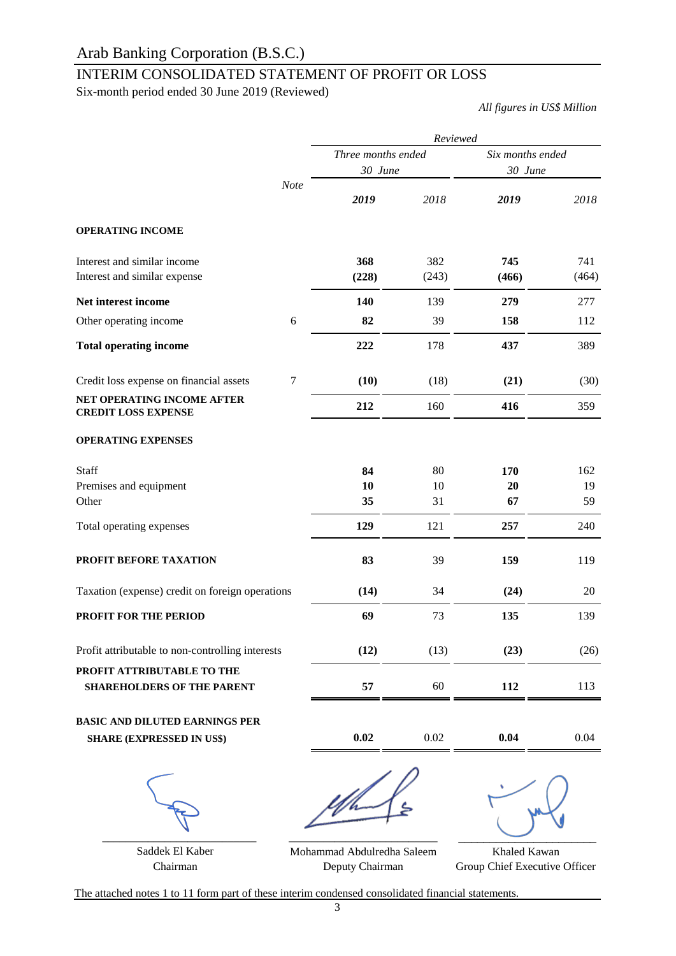### INTERIM CONSOLIDATED STATEMENT OF PROFIT OR LOSS

Six-month period ended 30 June 2019 (Reviewed)

*All figures in US\$ Million*

|                                                                 | Reviewed           |       |                  |       |  |  |
|-----------------------------------------------------------------|--------------------|-------|------------------|-------|--|--|
|                                                                 | Three months ended |       | Six months ended |       |  |  |
|                                                                 | 30 June            |       | 30 June          |       |  |  |
| <b>Note</b>                                                     | 2019               | 2018  | 2019             | 2018  |  |  |
| <b>OPERATING INCOME</b>                                         |                    |       |                  |       |  |  |
| Interest and similar income                                     | 368                | 382   | 745              | 741   |  |  |
| Interest and similar expense                                    | (228)              | (243) | (466)            | (464) |  |  |
| Net interest income                                             | 140                | 139   | 279              | 277   |  |  |
| 6<br>Other operating income                                     | 82                 | 39    | 158              | 112   |  |  |
| <b>Total operating income</b>                                   | 222                | 178   | 437              | 389   |  |  |
| 7<br>Credit loss expense on financial assets                    | (10)               | (18)  | (21)             | (30)  |  |  |
| <b>NET OPERATING INCOME AFTER</b><br><b>CREDIT LOSS EXPENSE</b> | 212                | 160   | 416              | 359   |  |  |
| <b>OPERATING EXPENSES</b>                                       |                    |       |                  |       |  |  |
| Staff                                                           | 84                 | 80    | 170              | 162   |  |  |
| Premises and equipment                                          | 10                 | 10    | 20               | 19    |  |  |
| Other                                                           | 35                 | 31    | 67               | 59    |  |  |
| Total operating expenses                                        | 129                | 121   | 257              | 240   |  |  |
| PROFIT BEFORE TAXATION                                          | 83                 | 39    | 159              | 119   |  |  |
| Taxation (expense) credit on foreign operations                 | (14)               | 34    | (24)             | 20    |  |  |
| PROFIT FOR THE PERIOD                                           | 69                 | 73    | 135              | 139   |  |  |
| Profit attributable to non-controlling interests                | (12)               | (13)  | (23)             | (26)  |  |  |
| PROFIT ATTRIBUTABLE TO THE<br><b>SHAREHOLDERS OF THE PARENT</b> | 57                 | 60    | 112              | 113   |  |  |
| <b>BASIC AND DILUTED EARNINGS PER</b>                           |                    |       |                  |       |  |  |
| <b>SHARE (EXPRESSED IN US\$)</b>                                | 0.02               | 0.02  | 0.04             | 0.04  |  |  |
|                                                                 |                    |       |                  |       |  |  |

Saddek El Kaber

Chairman Deputy Chairman Group Chief Executive Officer Mohammad Abdulredha Saleem Deputy Chairman

Khaled Kawan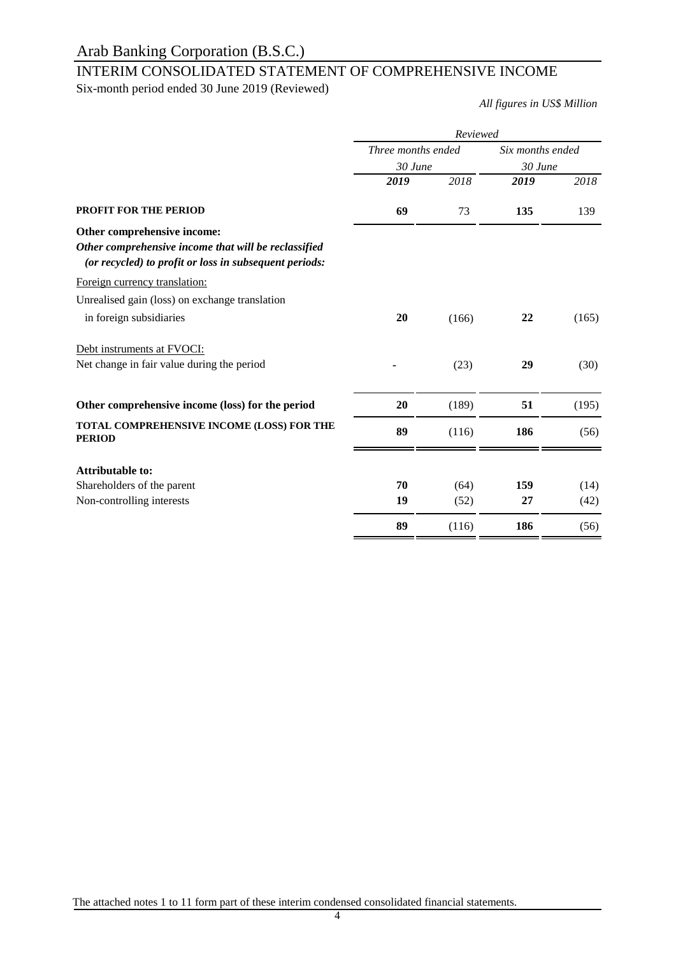## INTERIM CONSOLIDATED STATEMENT OF COMPREHENSIVE INCOME

Six-month period ended 30 June 2019 (Reviewed)

*All figures in US\$ Million*

|                                                                                                                | Reviewed           |       |                             |       |  |
|----------------------------------------------------------------------------------------------------------------|--------------------|-------|-----------------------------|-------|--|
|                                                                                                                | Three months ended |       | Six months ended<br>30 June |       |  |
|                                                                                                                | 30 June            |       |                             |       |  |
|                                                                                                                | 2019               | 2018  | 2019                        | 2018  |  |
| <b>PROFIT FOR THE PERIOD</b>                                                                                   | 69                 | 73    | 135                         | 139   |  |
| Other comprehensive income:                                                                                    |                    |       |                             |       |  |
| Other comprehensive income that will be reclassified<br>(or recycled) to profit or loss in subsequent periods: |                    |       |                             |       |  |
| Foreign currency translation:                                                                                  |                    |       |                             |       |  |
| Unrealised gain (loss) on exchange translation                                                                 |                    |       |                             |       |  |
| in foreign subsidiaries                                                                                        | 20                 | (166) | 22                          | (165) |  |
| Debt instruments at FVOCI:                                                                                     |                    |       |                             |       |  |
| Net change in fair value during the period                                                                     |                    | (23)  | 29                          | (30)  |  |
| Other comprehensive income (loss) for the period                                                               | 20                 | (189) | 51                          | (195) |  |
| TOTAL COMPREHENSIVE INCOME (LOSS) FOR THE<br><b>PERIOD</b>                                                     | 89                 | (116) | 186                         | (56)  |  |
| <b>Attributable to:</b>                                                                                        |                    |       |                             |       |  |
| Shareholders of the parent                                                                                     | 70                 | (64)  | 159                         | (14)  |  |
| Non-controlling interests                                                                                      | 19                 | (52)  | 27                          | (42)  |  |
|                                                                                                                | 89                 | (116) | 186                         | (56)  |  |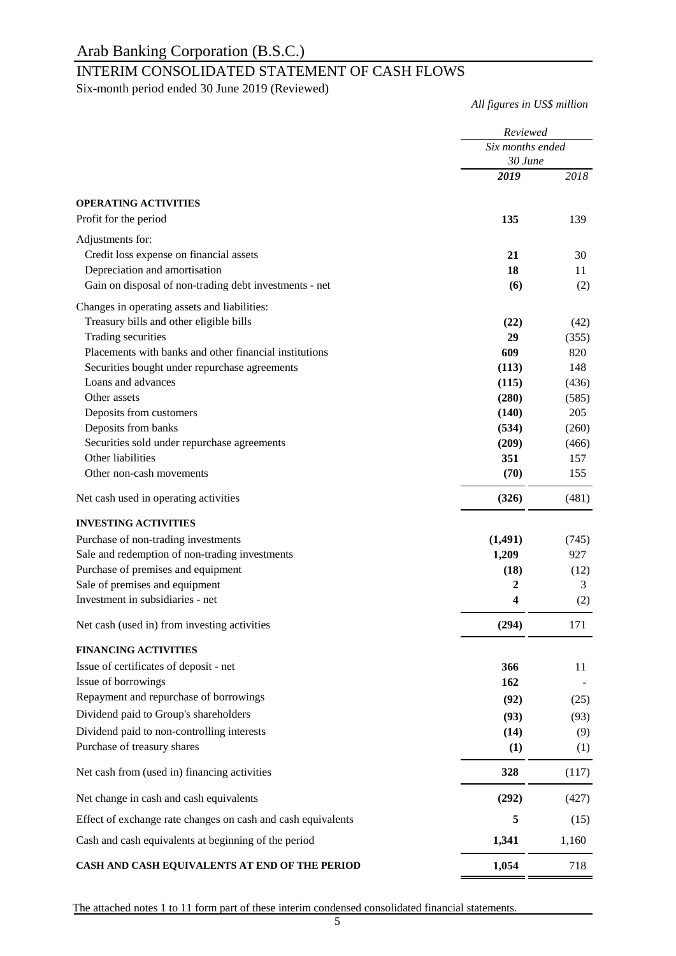### INTERIM CONSOLIDATED STATEMENT OF CASH FLOWS

Six-month period ended 30 June 2019 (Reviewed)

*All figures in US\$ million*

|                                                              | Reviewed<br>Six months ended |       |
|--------------------------------------------------------------|------------------------------|-------|
|                                                              |                              |       |
|                                                              | 30 June                      |       |
|                                                              | 2019                         | 2018  |
| <b>OPERATING ACTIVITIES</b>                                  |                              |       |
| Profit for the period                                        | 135                          | 139   |
| Adjustments for:                                             |                              |       |
| Credit loss expense on financial assets                      | 21                           | 30    |
| Depreciation and amortisation                                | 18                           | 11    |
| Gain on disposal of non-trading debt investments - net       | (6)                          | (2)   |
| Changes in operating assets and liabilities:                 |                              |       |
| Treasury bills and other eligible bills                      | (22)                         | (42)  |
| Trading securities                                           | 29                           | (355) |
| Placements with banks and other financial institutions       | 609                          | 820   |
| Securities bought under repurchase agreements                | (113)                        | 148   |
| Loans and advances                                           | (115)                        | (436) |
| Other assets                                                 | (280)                        | (585) |
| Deposits from customers                                      | (140)                        | 205   |
| Deposits from banks                                          | (534)                        | (260) |
| Securities sold under repurchase agreements                  | (209)                        | (466) |
| Other liabilities                                            | 351                          | 157   |
| Other non-cash movements                                     | (70)                         | 155   |
| Net cash used in operating activities                        | (326)                        | (481) |
| <b>INVESTING ACTIVITIES</b>                                  |                              |       |
| Purchase of non-trading investments                          | (1, 491)                     | (745) |
| Sale and redemption of non-trading investments               | 1,209                        | 927   |
| Purchase of premises and equipment                           | (18)                         | (12)  |
| Sale of premises and equipment                               | 2                            | 3     |
| Investment in subsidiaries - net                             | 4                            | (2)   |
| Net cash (used in) from investing activities                 | (294)                        | 171   |
| <b>FINANCING ACTIVITIES</b>                                  |                              |       |
| Issue of certificates of deposit - net                       | 366                          | 11    |
| Issue of borrowings                                          | 162                          |       |
| Repayment and repurchase of borrowings                       | (92)                         | (25)  |
| Dividend paid to Group's shareholders                        | (93)                         | (93)  |
| Dividend paid to non-controlling interests                   | (14)                         | (9)   |
| Purchase of treasury shares                                  | (1)                          | (1)   |
| Net cash from (used in) financing activities                 | 328                          | (117) |
| Net change in cash and cash equivalents                      | (292)                        | (427) |
| Effect of exchange rate changes on cash and cash equivalents | 5                            | (15)  |
| Cash and cash equivalents at beginning of the period         | 1,341                        | 1,160 |
| CASH AND CASH EQUIVALENTS AT END OF THE PERIOD               | 1,054                        | 718   |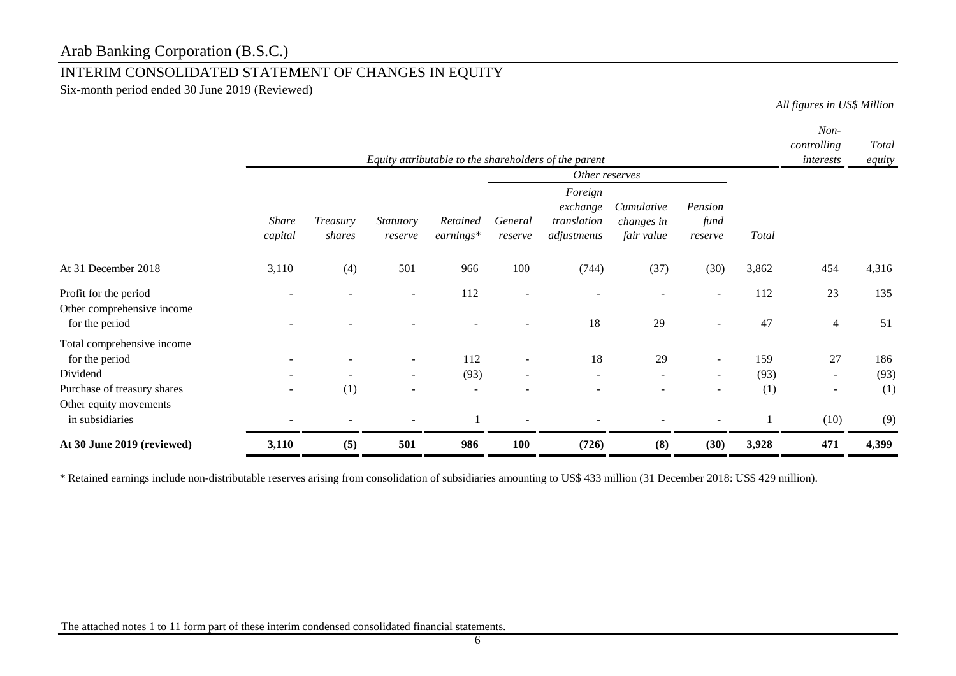### INTERIM CONSOLIDATED STATEMENT OF CHANGES IN EQUITY

Six-month period ended 30 June 2019 (Reviewed)

*All figures in US\$ Million*

|                                                                                                                   |                          |                    |                                                                |                                         |                          | Equity attributable to the shareholders of the parent |                                        |                            |                    | Non-<br>controlling<br>interests         | Total<br>equity    |
|-------------------------------------------------------------------------------------------------------------------|--------------------------|--------------------|----------------------------------------------------------------|-----------------------------------------|--------------------------|-------------------------------------------------------|----------------------------------------|----------------------------|--------------------|------------------------------------------|--------------------|
|                                                                                                                   |                          |                    |                                                                |                                         |                          | Other reserves                                        |                                        |                            |                    |                                          |                    |
|                                                                                                                   | <b>Share</b><br>capital  | Treasury<br>shares | <b>Statutory</b><br>reserve                                    | Retained<br>earnings*                   | General<br>reserve       | Foreign<br>exchange<br>translation<br>adjustments     | Cumulative<br>changes in<br>fair value | Pension<br>fund<br>reserve | <b>Total</b>       |                                          |                    |
| At 31 December 2018                                                                                               | 3,110                    | (4)                | 501                                                            | 966                                     | 100                      | (744)                                                 | (37)                                   | (30)                       | 3,862              | 454                                      | 4,316              |
| Profit for the period<br>Other comprehensive income<br>for the period                                             | ۰                        |                    | $\sim$                                                         | 112                                     | ٠                        | 18                                                    | 29                                     | $\overline{\phantom{a}}$   | 112<br>47          | 23<br>$\overline{4}$                     | 135<br>51          |
| Total comprehensive income<br>for the period<br>Dividend<br>Purchase of treasury shares<br>Other equity movements | $\overline{\phantom{a}}$ | $\sim$<br>(1)      | $\sim$<br>$\overline{\phantom{a}}$<br>$\overline{\phantom{a}}$ | 112<br>(93)<br>$\overline{\phantom{a}}$ | $\overline{\phantom{a}}$ | 18<br>$\sim$                                          | 29<br>$\sim$                           | $\sim$<br>$\sim$           | 159<br>(93)<br>(1) | 27<br>$\sim$<br>$\overline{\phantom{a}}$ | 186<br>(93)<br>(1) |
| in subsidiaries<br>At 30 June 2019 (reviewed)                                                                     | 3,110                    | (5)                | 501                                                            | 986                                     | 100                      | (726)                                                 | (8)                                    | (30)                       | 3,928              | (10)<br>471                              | (9)<br>4,399       |

\* Retained earnings include non-distributable reserves arising from consolidation of subsidiaries amounting to US\$ 433 million (31 December 2018: US\$ 429 million).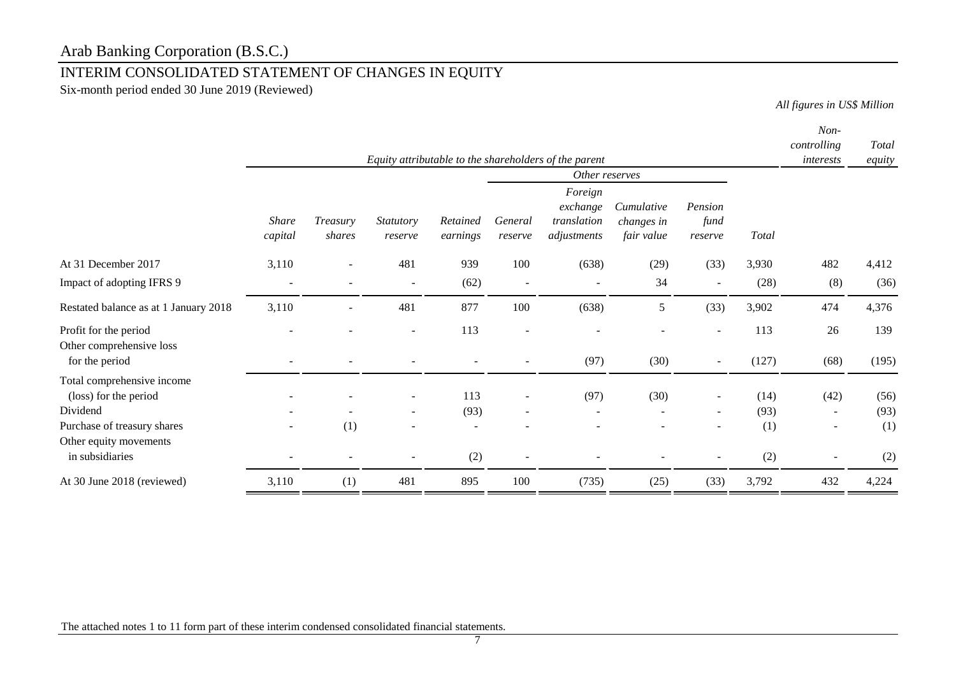## INTERIM CONSOLIDATED STATEMENT OF CHANGES IN EQUITY

Six-month period ended 30 June 2019 (Reviewed)

*All figures in US\$ Million*

|                                                                          |                          |                    |                          |                      |                          |                                                                         |                                        |                            |              | Non-<br>controlling      | Total        |
|--------------------------------------------------------------------------|--------------------------|--------------------|--------------------------|----------------------|--------------------------|-------------------------------------------------------------------------|----------------------------------------|----------------------------|--------------|--------------------------|--------------|
|                                                                          |                          |                    |                          |                      |                          | Equity attributable to the shareholders of the parent<br>Other reserves |                                        |                            |              | interests                | equity       |
|                                                                          | <b>Share</b><br>capital  | Treasury<br>shares | Statutory<br>reserve     | Retained<br>earnings | General<br>reserve       | Foreign<br>exchange<br>translation<br>adjustments                       | Cumulative<br>changes in<br>fair value | Pension<br>fund<br>reserve | Total        |                          |              |
| At 31 December 2017                                                      | 3,110                    | -                  | 481                      | 939                  | 100                      | (638)                                                                   | (29)                                   | (33)                       | 3,930        | 482                      | 4,412        |
| Impact of adopting IFRS 9                                                | $\overline{\phantom{a}}$ |                    | $\blacksquare$           | (62)                 | $\overline{\phantom{a}}$ |                                                                         | 34                                     | $\overline{\phantom{a}}$   | (28)         | (8)                      | (36)         |
| Restated balance as at 1 January 2018                                    | 3,110                    | ÷                  | 481                      | 877                  | 100                      | (638)                                                                   | 5                                      | (33)                       | 3,902        | 474                      | 4,376        |
| Profit for the period                                                    |                          |                    | $\overline{a}$           | 113                  |                          |                                                                         |                                        |                            | 113          | 26                       | 139          |
| Other comprehensive loss<br>for the period                               |                          |                    |                          |                      |                          | (97)                                                                    | (30)                                   | $\overline{\phantom{a}}$   | (127)        | (68)                     | (195)        |
| Total comprehensive income<br>(loss) for the period<br>Dividend          |                          |                    | $\overline{\phantom{a}}$ | 113                  |                          | (97)                                                                    | (30)                                   | $\overline{\phantom{a}}$   | (14)<br>(93) | (42)                     | (56)<br>(93) |
| Purchase of treasury shares<br>Other equity movements<br>in subsidiaries |                          | (1)                | $\overline{\phantom{a}}$ | (93)<br>(2)          |                          | $\overline{\phantom{a}}$                                                |                                        | $\overline{\phantom{a}}$   | (1)<br>(2)   | $\overline{\phantom{m}}$ | (1)<br>(2)   |
| At 30 June 2018 (reviewed)                                               | 3,110                    | (1)                | 481                      | 895                  | 100                      | (735)                                                                   | (25)                                   | (33)                       | 3,792        | 432                      | 4,224        |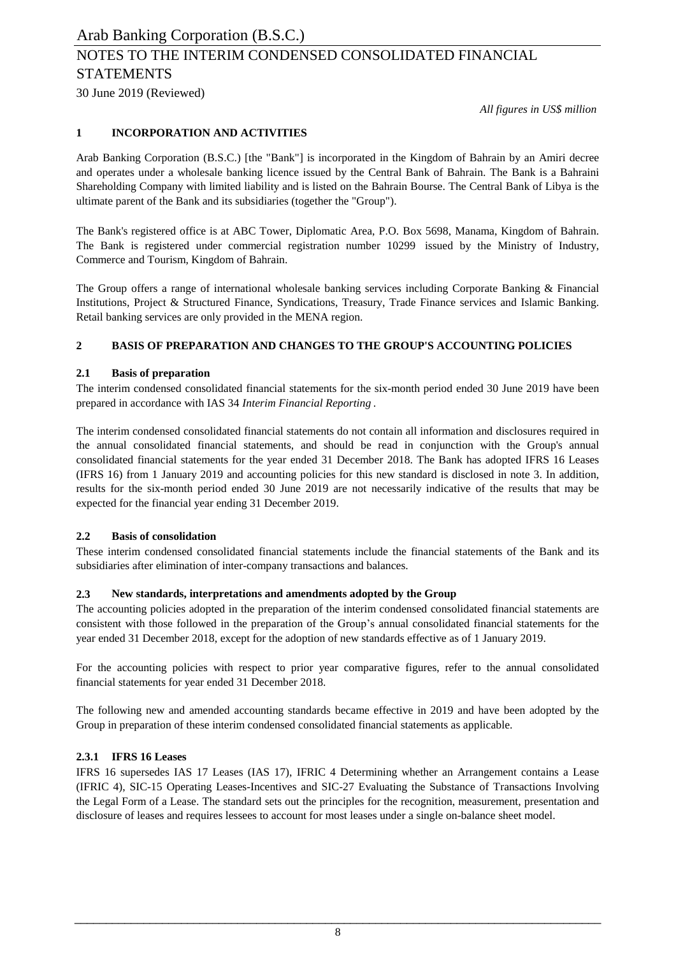30 June 2019 (Reviewed)

*All figures in US\$ million*

### **1 INCORPORATION AND ACTIVITIES**

Arab Banking Corporation (B.S.C.) [the "Bank"] is incorporated in the Kingdom of Bahrain by an Amiri decree and operates under a wholesale banking licence issued by the Central Bank of Bahrain. The Bank is a Bahraini Shareholding Company with limited liability and is listed on the Bahrain Bourse. The Central Bank of Libya is the ultimate parent of the Bank and its subsidiaries (together the "Group").

The Bank's registered office is at ABC Tower, Diplomatic Area, P.O. Box 5698, Manama, Kingdom of Bahrain. The Bank is registered under commercial registration number 10299 issued by the Ministry of Industry, Commerce and Tourism, Kingdom of Bahrain.

The Group offers a range of international wholesale banking services including Corporate Banking & Financial Institutions, Project & Structured Finance, Syndications, Treasury, Trade Finance services and Islamic Banking. Retail banking services are only provided in the MENA region.

### **2 BASIS OF PREPARATION AND CHANGES TO THE GROUP'S ACCOUNTING POLICIES**

### **2.1 Basis of preparation**

The interim condensed consolidated financial statements for the six-month period ended 30 June 2019 have been prepared in accordance with IAS 34 *Interim Financial Reporting* .

The interim condensed consolidated financial statements do not contain all information and disclosures required in the annual consolidated financial statements, and should be read in conjunction with the Group's annual consolidated financial statements for the year ended 31 December 2018. The Bank has adopted IFRS 16 Leases (IFRS 16) from 1 January 2019 and accounting policies for this new standard is disclosed in note 3. In addition, results for the six-month period ended 30 June 2019 are not necessarily indicative of the results that may be expected for the financial year ending 31 December 2019.

### **2.2 Basis of consolidation**

These interim condensed consolidated financial statements include the financial statements of the Bank and its subsidiaries after elimination of inter-company transactions and balances.

### **2.3 New standards, interpretations and amendments adopted by the Group**

The accounting policies adopted in the preparation of the interim condensed consolidated financial statements are consistent with those followed in the preparation of the Group's annual consolidated financial statements for the year ended 31 December 2018, except for the adoption of new standards effective as of 1 January 2019.

For the accounting policies with respect to prior year comparative figures, refer to the annual consolidated financial statements for year ended 31 December 2018.

The following new and amended accounting standards became effective in 2019 and have been adopted by the Group in preparation of these interim condensed consolidated financial statements as applicable.

### **2.3.1 IFRS 16 Leases**

IFRS 16 supersedes IAS 17 Leases (IAS 17), IFRIC 4 Determining whether an Arrangement contains a Lease (IFRIC 4), SIC-15 Operating Leases-Incentives and SIC-27 Evaluating the Substance of Transactions Involving the Legal Form of a Lease. The standard sets out the principles for the recognition, measurement, presentation and disclosure of leases and requires lessees to account for most leases under a single on-balance sheet model.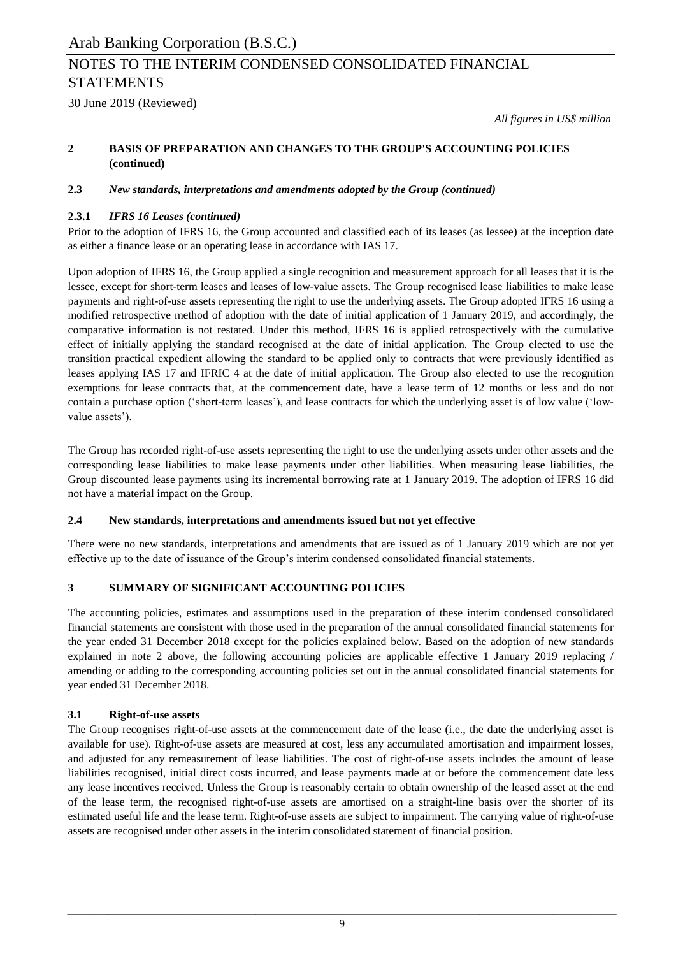30 June 2019 (Reviewed)

*All figures in US\$ million*

#### **2 BASIS OF PREPARATION AND CHANGES TO THE GROUP'S ACCOUNTING POLICIES (continued)**

### **2.3** *New standards, interpretations and amendments adopted by the Group (continued)*

### **2.3.1** *IFRS 16 Leases (continued)*

Prior to the adoption of IFRS 16, the Group accounted and classified each of its leases (as lessee) at the inception date as either a finance lease or an operating lease in accordance with IAS 17.

Upon adoption of IFRS 16, the Group applied a single recognition and measurement approach for all leases that it is the lessee, except for short-term leases and leases of low-value assets. The Group recognised lease liabilities to make lease payments and right-of-use assets representing the right to use the underlying assets. The Group adopted IFRS 16 using a modified retrospective method of adoption with the date of initial application of 1 January 2019, and accordingly, the comparative information is not restated. Under this method, IFRS 16 is applied retrospectively with the cumulative effect of initially applying the standard recognised at the date of initial application. The Group elected to use the transition practical expedient allowing the standard to be applied only to contracts that were previously identified as leases applying IAS 17 and IFRIC 4 at the date of initial application. The Group also elected to use the recognition exemptions for lease contracts that, at the commencement date, have a lease term of 12 months or less and do not contain a purchase option ('short-term leases'), and lease contracts for which the underlying asset is of low value ('lowvalue assets').

The Group has recorded right-of-use assets representing the right to use the underlying assets under other assets and the corresponding lease liabilities to make lease payments under other liabilities. When measuring lease liabilities, the Group discounted lease payments using its incremental borrowing rate at 1 January 2019. The adoption of IFRS 16 did not have a material impact on the Group.

### **2.4 New standards, interpretations and amendments issued but not yet effective**

There were no new standards, interpretations and amendments that are issued as of 1 January 2019 which are not yet effective up to the date of issuance of the Group's interim condensed consolidated financial statements.

### **3 SUMMARY OF SIGNIFICANT ACCOUNTING POLICIES**

The accounting policies, estimates and assumptions used in the preparation of these interim condensed consolidated financial statements are consistent with those used in the preparation of the annual consolidated financial statements for the year ended 31 December 2018 except for the policies explained below. Based on the adoption of new standards explained in note 2 above, the following accounting policies are applicable effective 1 January 2019 replacing / amending or adding to the corresponding accounting policies set out in the annual consolidated financial statements for year ended 31 December 2018.

### **3.1 Right-of-use assets**

The Group recognises right-of-use assets at the commencement date of the lease (i.e., the date the underlying asset is available for use). Right-of-use assets are measured at cost, less any accumulated amortisation and impairment losses, and adjusted for any remeasurement of lease liabilities. The cost of right-of-use assets includes the amount of lease liabilities recognised, initial direct costs incurred, and lease payments made at or before the commencement date less any lease incentives received. Unless the Group is reasonably certain to obtain ownership of the leased asset at the end of the lease term, the recognised right-of-use assets are amortised on a straight-line basis over the shorter of its estimated useful life and the lease term. Right-of-use assets are subject to impairment. The carrying value of right-of-use assets are recognised under other assets in the interim consolidated statement of financial position.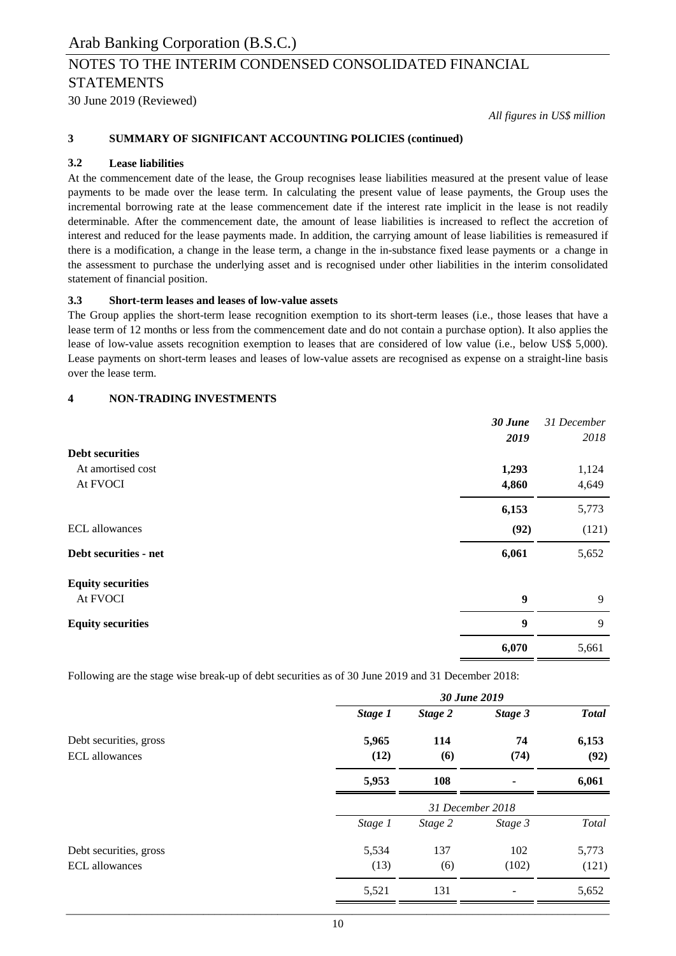30 June 2019 (Reviewed)

*All figures in US\$ million*

### **3 SUMMARY OF SIGNIFICANT ACCOUNTING POLICIES (continued)**

### **3.2 Lease liabilities**

At the commencement date of the lease, the Group recognises lease liabilities measured at the present value of lease payments to be made over the lease term. In calculating the present value of lease payments, the Group uses the incremental borrowing rate at the lease commencement date if the interest rate implicit in the lease is not readily determinable. After the commencement date, the amount of lease liabilities is increased to reflect the accretion of interest and reduced for the lease payments made. In addition, the carrying amount of lease liabilities is remeasured if there is a modification, a change in the lease term, a change in the in-substance fixed lease payments or a change in the assessment to purchase the underlying asset and is recognised under other liabilities in the interim consolidated statement of financial position.

### **3.3 Short-term leases and leases of low-value assets**

The Group applies the short-term lease recognition exemption to its short-term leases (i.e., those leases that have a lease term of 12 months or less from the commencement date and do not contain a purchase option). It also applies the lease of low-value assets recognition exemption to leases that are considered of low value (i.e., below US\$ 5,000). Lease payments on short-term leases and leases of low-value assets are recognised as expense on a straight-line basis over the lease term.

### **4 NON-TRADING INVESTMENTS**

|                          | 30 June<br>2019  | 31 December<br>2018 |
|--------------------------|------------------|---------------------|
| <b>Debt securities</b>   |                  |                     |
| At amortised cost        | 1,293            | 1,124               |
| At FVOCI                 | 4,860            | 4,649               |
|                          | 6,153            | 5,773               |
| <b>ECL</b> allowances    | (92)             | (121)               |
| Debt securities - net    | 6,061            | 5,652               |
| <b>Equity securities</b> |                  |                     |
| At FVOCI                 | $\boldsymbol{9}$ | 9                   |
| <b>Equity securities</b> | 9                | 9                   |
|                          | 6,070            | 5,661               |

Following are the stage wise break-up of debt securities as of 30 June 2019 and 31 December 2018:

|                                                 | 30 June 2019  |                  |            |               |  |  |  |
|-------------------------------------------------|---------------|------------------|------------|---------------|--|--|--|
|                                                 | Stage 1       | Stage 2          | Stage 3    | <b>Total</b>  |  |  |  |
| Debt securities, gross<br><b>ECL</b> allowances | 5,965<br>(12) | 114<br>(6)       | 74<br>(74) | 6,153<br>(92) |  |  |  |
|                                                 | 5,953         | 108              | ۰          | 6,061         |  |  |  |
|                                                 |               | 31 December 2018 |            |               |  |  |  |
|                                                 | Stage 1       | Stage 2          | Stage 3    | Total         |  |  |  |
| Debt securities, gross                          | 5,534         | 137              | 102        | 5,773         |  |  |  |
| <b>ECL</b> allowances                           | (13)          | (6)              | (102)      | (121)         |  |  |  |
|                                                 | 5,521         | 131              |            | 5,652         |  |  |  |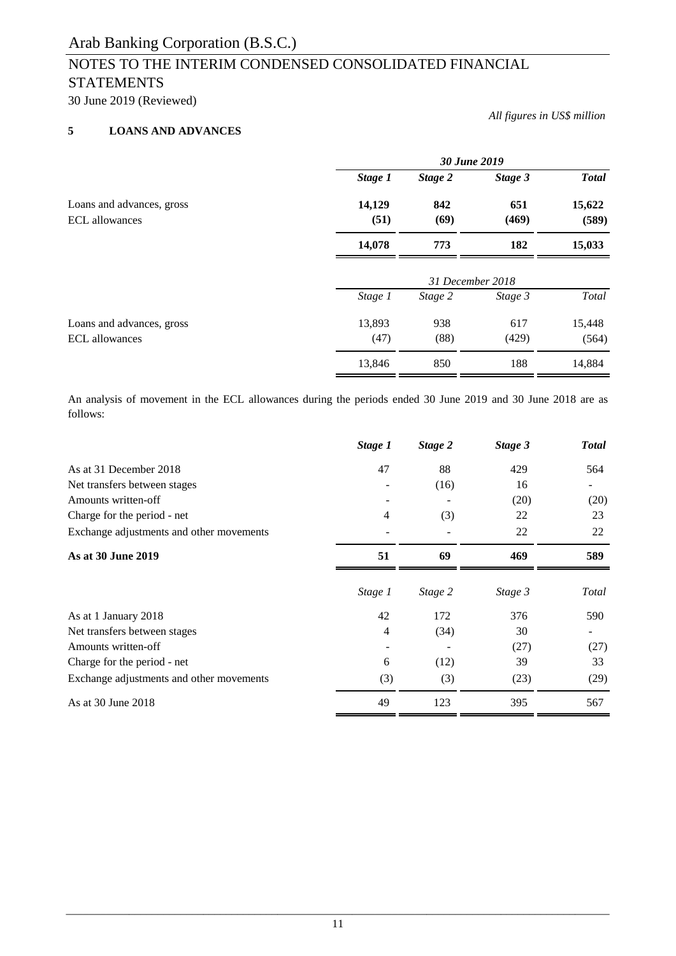30 June 2019 (Reviewed)

### **5 LOANS AND ADVANCES**

*All figures in US\$ million*

|                                                    |                | 30 June 2019     |              |                 |  |  |
|----------------------------------------------------|----------------|------------------|--------------|-----------------|--|--|
|                                                    | Stage 1        | Stage 2          | Stage 3      | <b>Total</b>    |  |  |
| Loans and advances, gross<br><b>ECL</b> allowances | 14,129<br>(51) | 842<br>(69)      | 651<br>(469) | 15,622<br>(589) |  |  |
|                                                    | 14,078         | 773              | 182          | 15,033          |  |  |
|                                                    |                | 31 December 2018 |              |                 |  |  |
|                                                    | Stage 1        | Stage 2          | Stage 3      | Total           |  |  |
| Loans and advances, gross<br>ECL allowances        | 13,893<br>(47) | 938<br>(88)      | 617<br>(429) | 15,448<br>(564) |  |  |
|                                                    | 13,846         | 850              | 188          | 14,884          |  |  |

An analysis of movement in the ECL allowances during the periods ended 30 June 2019 and 30 June 2018 are as follows:

|                                          | Stage 1 | Stage 2 | Stage 3 | <b>Total</b> |
|------------------------------------------|---------|---------|---------|--------------|
| As at 31 December 2018                   | 47      | 88      | 429     | 564          |
| Net transfers between stages             |         | (16)    | 16      |              |
| Amounts written-off                      |         |         | (20)    | (20)         |
| Charge for the period - net              | 4       | (3)     | 22      | 23           |
| Exchange adjustments and other movements |         |         | 22      | 22           |
| As at 30 June 2019                       | 51      | 69      | 469     | 589          |
|                                          | Stage 1 | Stage 2 | Stage 3 | Total        |
| As at 1 January 2018                     | 42      | 172     | 376     | 590          |
| Net transfers between stages             | 4       | (34)    | 30      |              |
| Amounts written-off                      |         |         | (27)    | (27)         |
| Charge for the period - net              | 6       | (12)    | 39      | 33           |
| Exchange adjustments and other movements | (3)     | (3)     | (23)    | (29)         |
| As at 30 June 2018                       | 49      | 123     | 395     | 567          |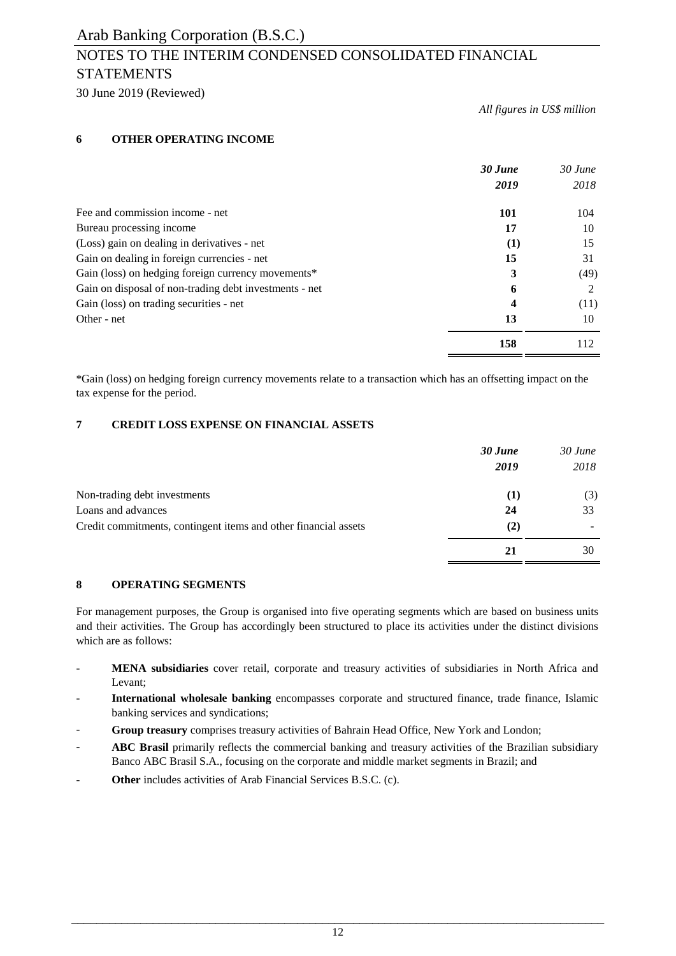## NOTES TO THE INTERIM CONDENSED CONSOLIDATED FINANCIAL **STATEMENTS**

30 June 2019 (Reviewed)

*All figures in US\$ million*

### **6 OTHER OPERATING INCOME**

|                                                        | 30 June<br>2019 | $30$ June<br>2018 |
|--------------------------------------------------------|-----------------|-------------------|
| Fee and commission income - net                        | <b>101</b>      | 104               |
| Bureau processing income                               | 17              | 10                |
| (Loss) gain on dealing in derivatives - net            | $\bf(1)$        | 15                |
| Gain on dealing in foreign currencies - net            | 15              | 31                |
| Gain (loss) on hedging foreign currency movements*     | 3               | (49)              |
| Gain on disposal of non-trading debt investments - net | 6               | 2                 |
| Gain (loss) on trading securities - net                | 4               | (11)              |
| Other - net                                            | 13              | 10                |
|                                                        | 158             | 112               |

\*Gain (loss) on hedging foreign currency movements relate to a transaction which has an offsetting impact on the tax expense for the period.

### **7 CREDIT LOSS EXPENSE ON FINANCIAL ASSETS**

|                                                                 | 30 June<br>2019 | $30$ June<br>2018 |
|-----------------------------------------------------------------|-----------------|-------------------|
| Non-trading debt investments                                    | (1)             | (3)               |
| Loans and advances                                              | 24              | 33                |
| Credit commitments, contingent items and other financial assets | (2)             |                   |
|                                                                 | 21              | 30                |

### **8 OPERATING SEGMENTS**

For management purposes, the Group is organised into five operating segments which are based on business units and their activities. The Group has accordingly been structured to place its activities under the distinct divisions which are as follows:

- **MENA subsidiaries** cover retail, corporate and treasury activities of subsidiaries in North Africa and Levant;
- **International wholesale banking** encompasses corporate and structured finance, trade finance, Islamic banking services and syndications;
- **Group treasury** comprises treasury activities of Bahrain Head Office, New York and London;
- **ABC Brasil** primarily reflects the commercial banking and treasury activities of the Brazilian subsidiary Banco ABC Brasil S.A., focusing on the corporate and middle market segments in Brazil; and
- **Other** includes activities of Arab Financial Services B.S.C. (c).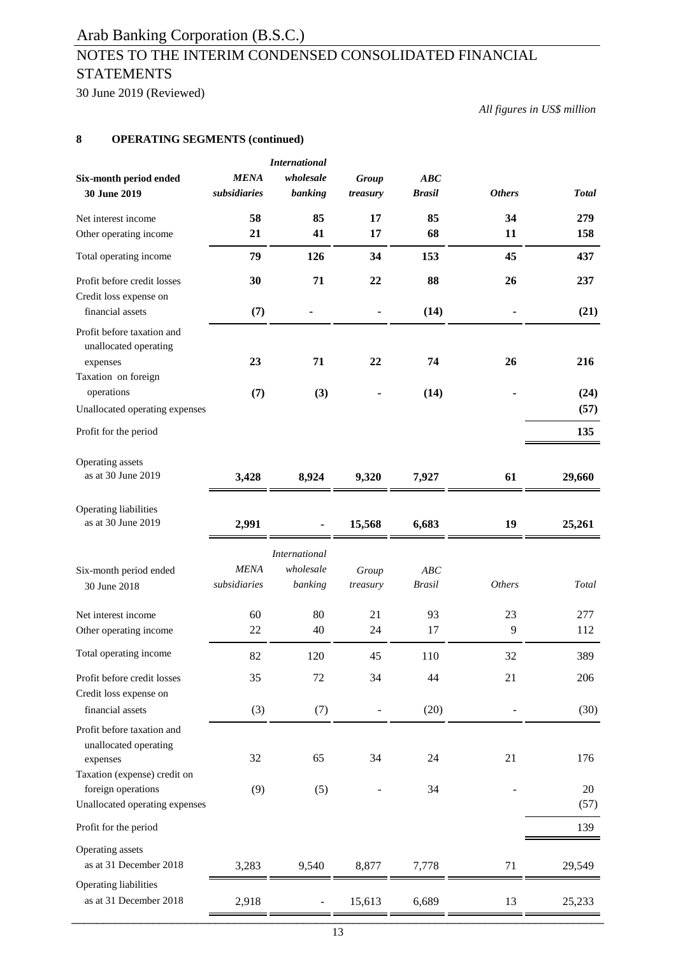## NOTES TO THE INTERIM CONDENSED CONSOLIDATED FINANCIAL **STATEMENTS**

30 June 2019 (Reviewed)

*All figures in US\$ million*

### **8 OPERATING SEGMENTS (continued)**

| Six-month period ended<br>30 June 2019                                                                                                                  | <b>MENA</b><br>subsidiaries | <b>International</b><br>wholesale<br>banking | <b>Group</b><br>treasury | ABC<br><b>Brasil</b> | <b>Others</b> | <b>Total</b>      |
|---------------------------------------------------------------------------------------------------------------------------------------------------------|-----------------------------|----------------------------------------------|--------------------------|----------------------|---------------|-------------------|
| Net interest income                                                                                                                                     | 58                          | 85                                           | 17                       | 85                   | 34            | 279               |
| Other operating income                                                                                                                                  | 21                          | 41                                           | 17                       | 68                   | 11            | 158               |
| Total operating income                                                                                                                                  | 79                          | 126                                          | 34                       | 153                  | 45            | 437               |
| Profit before credit losses<br>Credit loss expense on<br>financial assets                                                                               | 30                          | 71                                           | 22                       | 88                   | 26            | 237               |
| Profit before taxation and<br>unallocated operating<br>expenses                                                                                         | (7)<br>23                   | 71                                           | 22                       | (14)<br>74           | 26            | (21)<br>216       |
| Taxation on foreign<br>operations<br>Unallocated operating expenses                                                                                     | (7)                         | (3)                                          |                          | (14)                 |               | (24)<br>(57)      |
| Profit for the period                                                                                                                                   |                             |                                              |                          |                      |               | 135               |
| Operating assets<br>as at 30 June 2019                                                                                                                  | 3,428                       | 8,924                                        | 9,320                    | 7,927                | 61            | 29,660            |
| Operating liabilities<br>as at 30 June 2019                                                                                                             | 2,991                       |                                              | 15,568                   | 6,683                | 19            | 25,261            |
| Six-month period ended<br>30 June 2018                                                                                                                  | <b>MENA</b><br>subsidiaries | <b>International</b><br>wholesale<br>banking | Group<br>treasury        | ABC<br><b>Brasil</b> | <b>Others</b> | Total             |
| Net interest income<br>Other operating income                                                                                                           | 60<br>22                    | 80<br>40                                     | 21<br>24                 | 93<br>17             | 23<br>9       | 277<br>112        |
| Total operating income                                                                                                                                  | 82                          | 120                                          | 45                       | 110                  | 32            | 389               |
| Profit before credit losses<br>Credit loss expense on                                                                                                   | 35                          | 72                                           | 34                       | 44                   | 21            | 206               |
| financial assets                                                                                                                                        | (3)                         | (7)                                          | $\overline{a}$           | (20)                 |               | (30)              |
| Profit before taxation and<br>unallocated operating<br>expenses<br>Taxation (expense) credit on<br>foreign operations<br>Unallocated operating expenses | 32<br>(9)                   | 65<br>(5)                                    | 34                       | 24<br>34             | 21            | 176<br>20<br>(57) |
| Profit for the period                                                                                                                                   |                             |                                              |                          |                      |               | 139               |
| Operating assets<br>as at 31 December 2018                                                                                                              | 3,283                       | 9,540                                        | 8,877                    | 7,778                | 71            | 29,549            |
| Operating liabilities<br>as at 31 December 2018                                                                                                         | 2,918                       |                                              | 15,613                   | 6,689                | 13            | 25,233            |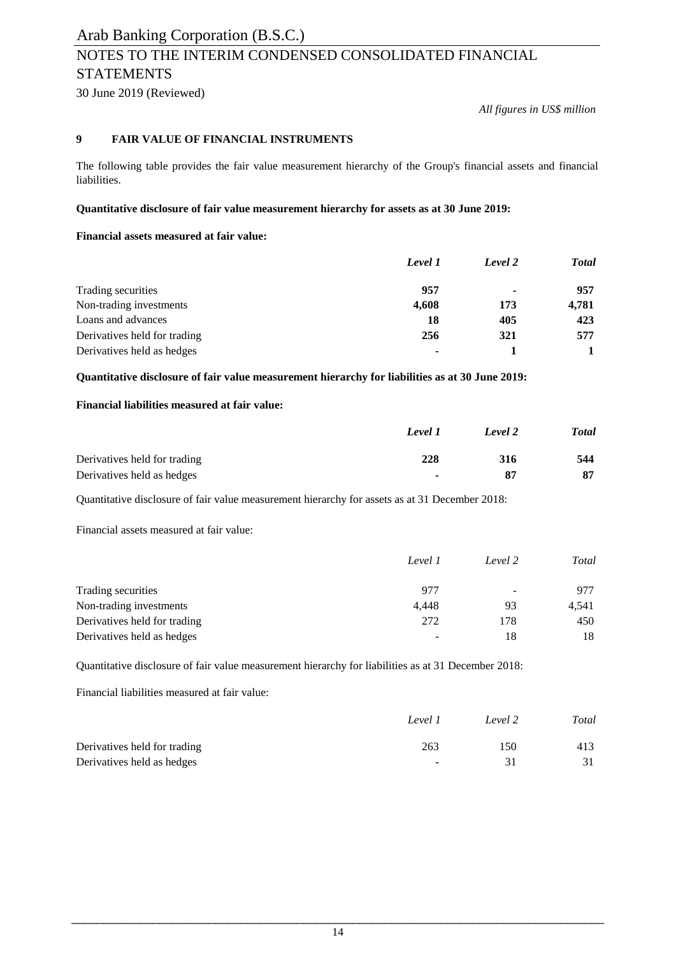## NOTES TO THE INTERIM CONDENSED CONSOLIDATED FINANCIAL **STATEMENTS**

30 June 2019 (Reviewed)

*All figures in US\$ million*

### **9 FAIR VALUE OF FINANCIAL INSTRUMENTS**

The following table provides the fair value measurement hierarchy of the Group's financial assets and financial liabilities.

### **Quantitative disclosure of fair value measurement hierarchy for assets as at 30 June 2019:**

### **Financial assets measured at fair value:**

|                              | Level 1        | Level 2        | <b>Total</b> |
|------------------------------|----------------|----------------|--------------|
| Trading securities           | 957            | $\blacksquare$ | 957          |
| Non-trading investments      | 4,608          | 173            | 4,781        |
| Loans and advances           | 18             | 405            | 423          |
| Derivatives held for trading | 256            | 321            | 577          |
| Derivatives held as hedges   | $\blacksquare$ |                |              |

**Quantitative disclosure of fair value measurement hierarchy for liabilities as at 30 June 2019:**

### **Financial liabilities measured at fair value:**

|                              | Level 1        | Level 2 | <b>Total</b> |
|------------------------------|----------------|---------|--------------|
| Derivatives held for trading | 228            | 316     | 544          |
| Derivatives held as hedges   | $\blacksquare$ | 87      | 87           |

Quantitative disclosure of fair value measurement hierarchy for assets as at 31 December 2018:

Financial assets measured at fair value:

|                              | Level 1 | Level 2 | Total |
|------------------------------|---------|---------|-------|
| Trading securities           | 977     | -       | 977   |
| Non-trading investments      | 4.448   | 93      | 4.541 |
| Derivatives held for trading | 272     | 178     | 450   |
| Derivatives held as hedges   | -       | 18      | 18    |

Quantitative disclosure of fair value measurement hierarchy for liabilities as at 31 December 2018:

Financial liabilities measured at fair value:

|                              | Level 1 | Level 2 | Total |
|------------------------------|---------|---------|-------|
| Derivatives held for trading | 263     | 150     | 413   |
| Derivatives held as hedges   | $\sim$  | -31     |       |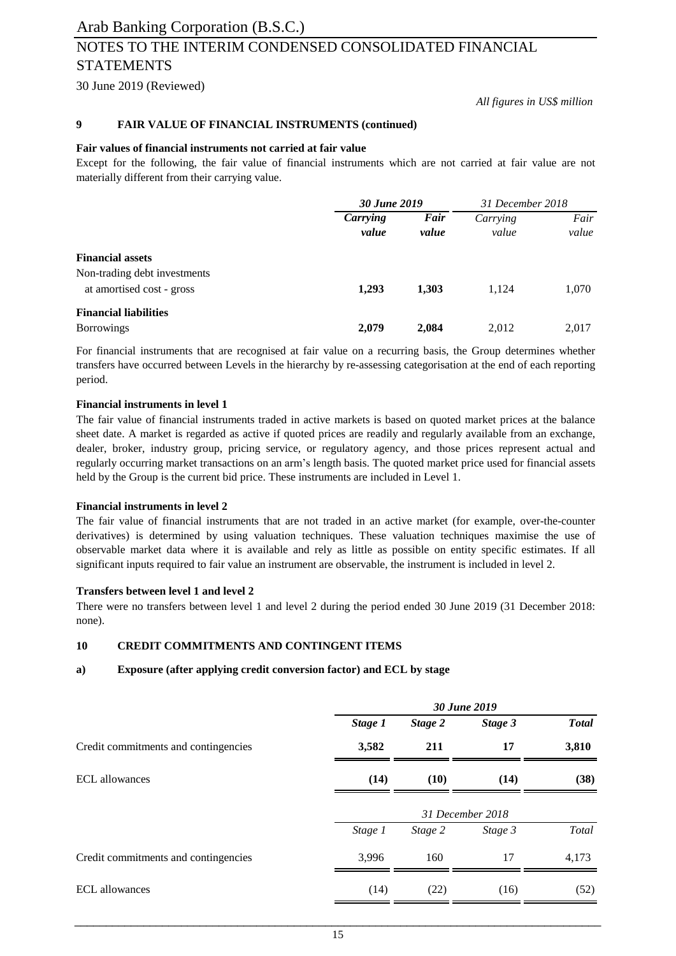### Arab Banking Corporation (B.S.C.) NOTES TO THE INTERIM CONDENSED CONSOLIDATED FINANCIAL STATEMENTS

30 June 2019 (Reviewed)

*All figures in US\$ million*

#### **9 FAIR VALUE OF FINANCIAL INSTRUMENTS (continued)**

#### **Fair values of financial instruments not carried at fair value**

Except for the following, the fair value of financial instruments which are not carried at fair value are not materially different from their carrying value.

|                                                           | 30 June 2019      |               | 31 December 2018  |               |
|-----------------------------------------------------------|-------------------|---------------|-------------------|---------------|
|                                                           | Carrying<br>value | Fair<br>value | Carrying<br>value | Fair<br>value |
| <b>Financial assets</b>                                   |                   |               |                   |               |
| Non-trading debt investments<br>at amortised cost - gross | 1,293             | 1,303         | 1,124             | 1,070         |
| <b>Financial liabilities</b><br><b>Borrowings</b>         | 2,079             | 2,084         | 2,012             | 2,017         |

For financial instruments that are recognised at fair value on a recurring basis, the Group determines whether transfers have occurred between Levels in the hierarchy by re-assessing categorisation at the end of each reporting period.

#### **Financial instruments in level 1**

The fair value of financial instruments traded in active markets is based on quoted market prices at the balance sheet date. A market is regarded as active if quoted prices are readily and regularly available from an exchange, dealer, broker, industry group, pricing service, or regulatory agency, and those prices represent actual and regularly occurring market transactions on an arm's length basis. The quoted market price used for financial assets held by the Group is the current bid price. These instruments are included in Level 1.

#### **Financial instruments in level 2**

The fair value of financial instruments that are not traded in an active market (for example, over-the-counter derivatives) is determined by using valuation techniques. These valuation techniques maximise the use of observable market data where it is available and rely as little as possible on entity specific estimates. If all significant inputs required to fair value an instrument are observable, the instrument is included in level 2.

#### **Transfers between level 1 and level 2**

There were no transfers between level 1 and level 2 during the period ended 30 June 2019 (31 December 2018: none).

#### **10 CREDIT COMMITMENTS AND CONTINGENT ITEMS**

#### **a) Exposure (after applying credit conversion factor) and ECL by stage**

|                                      | 30 June 2019 |         |                  |              |  |
|--------------------------------------|--------------|---------|------------------|--------------|--|
|                                      | Stage 1      | Stage 2 | Stage 3          | <b>Total</b> |  |
| Credit commitments and contingencies | 3,582        | 211     | 17               | 3,810        |  |
| <b>ECL</b> allowances                | (14)         | (10)    | (14)             | (38)         |  |
|                                      |              |         | 31 December 2018 |              |  |
|                                      | Stage 1      | Stage 2 | Stage 3          | Total        |  |
| Credit commitments and contingencies | 3,996        | 160     | 17               | 4,173        |  |
| <b>ECL</b> allowances                | (14)         | (22)    | (16)             | (52)         |  |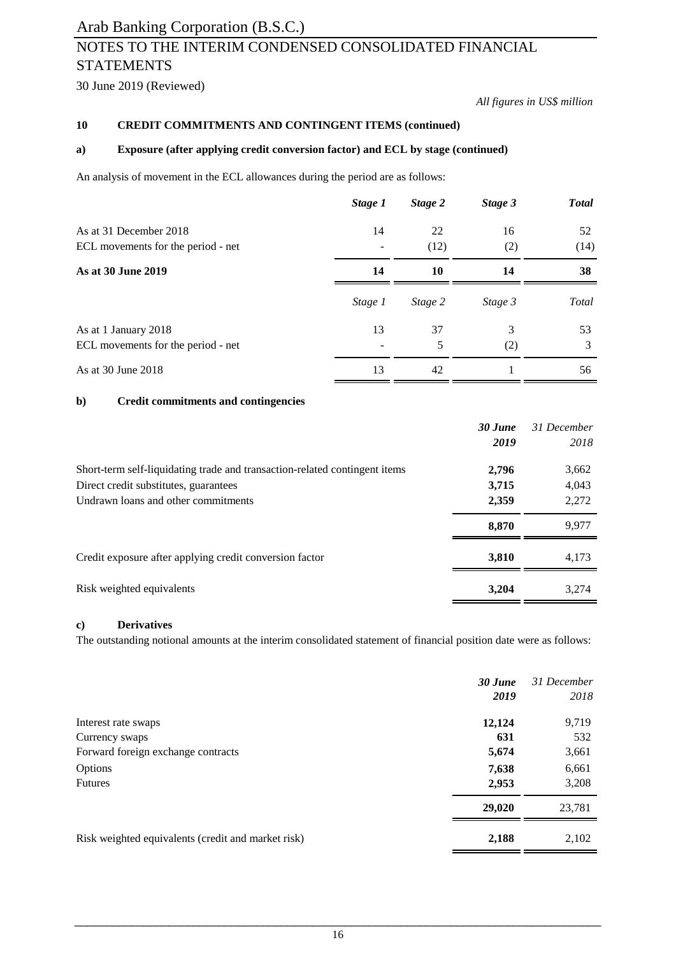## NOTES TO THE INTERIM CONDENSED CONSOLIDATED FINANCIAL STATEMENTS

30 June 2019 (Reviewed)

*All figures in US\$ million*

#### **10 CREDIT COMMITMENTS AND CONTINGENT ITEMS (continued)**

#### **a) Exposure (after applying credit conversion factor) and ECL by stage (continued)**

An analysis of movement in the ECL allowances during the period are as follows:

|                                    | Stage 1 | Stage 2 | Stage 3 | <b>Total</b> |
|------------------------------------|---------|---------|---------|--------------|
| As at 31 December 2018             | 14      | 22      | 16      | 52           |
| ECL movements for the period - net |         | (12)    | (2)     | (14)         |
| As at 30 June 2019                 | 14      | 10      | 14      | 38           |
|                                    | Stage 1 | Stage 2 | Stage 3 | Total        |
| As at 1 January 2018               | 13      | 37      | 3       | 53           |
| ECL movements for the period - net |         | 5       | (2)     | 3            |
| As at 30 June 2018                 | 13      | 42      |         | 56           |

### **b) Credit commitments and contingencies**

|                                                                            | $30$ June | 31 December |
|----------------------------------------------------------------------------|-----------|-------------|
|                                                                            | 2019      | 2018        |
| Short-term self-liquidating trade and transaction-related contingent items | 2,796     | 3,662       |
| Direct credit substitutes, guarantees                                      | 3,715     | 4,043       |
| Undrawn loans and other commitments                                        | 2,359     | 2,272       |
|                                                                            | 8,870     | 9,977       |
| Credit exposure after applying credit conversion factor                    | 3.810     | 4.173       |
| Risk weighted equivalents                                                  | 3,204     | 3.274       |

### **c) Derivatives**

The outstanding notional amounts at the interim consolidated statement of financial position date were as follows:

|                                                    | $30$ June<br>2019 | 31 December<br>2018 |
|----------------------------------------------------|-------------------|---------------------|
| Interest rate swaps                                | 12,124            | 9,719               |
| Currency swaps                                     | 631               | 532                 |
| Forward foreign exchange contracts                 | 5,674             | 3,661               |
| Options                                            | 7,638             | 6,661               |
| <b>Futures</b>                                     | 2,953             | 3,208               |
|                                                    | 29,020            | 23,781              |
| Risk weighted equivalents (credit and market risk) | 2,188             | 2,102               |